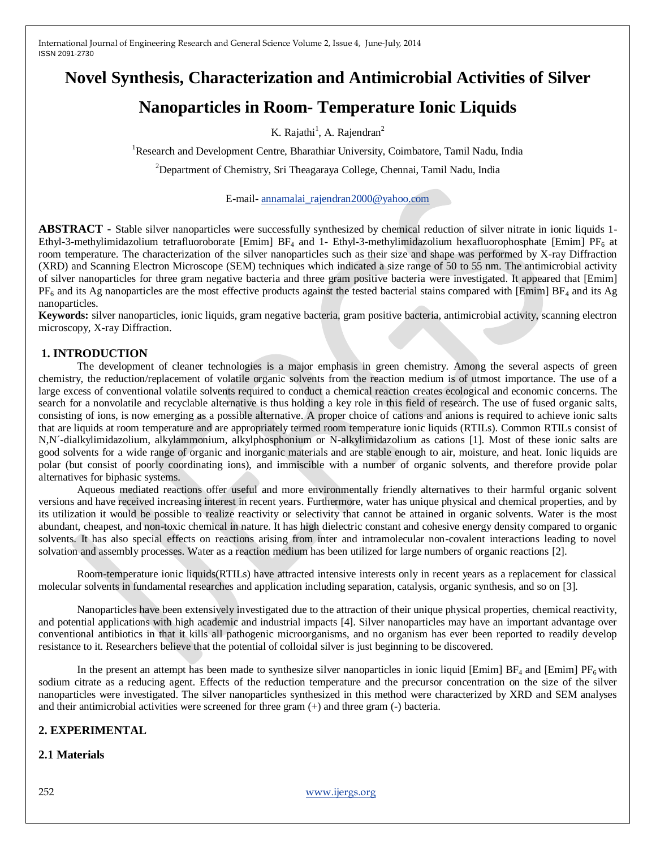# **Novel Synthesis, Characterization and Antimicrobial Activities of Silver**

# **Nanoparticles in Room- Temperature Ionic Liquids**

K. Rajathi<sup>1</sup>, A. Rajendran<sup>2</sup>

<sup>1</sup>Research and Development Centre, Bharathiar University, Coimbatore, Tamil Nadu, India

<sup>2</sup>Department of Chemistry, Sri Theagaraya College, Chennai, Tamil Nadu, India

E-mail- [annamalai\\_rajendran2000@yahoo.com](mailto:annamalai_rajendran2000@yahoo.com)

**ABSTRACT -** Stable silver nanoparticles were successfully synthesized by chemical reduction of silver nitrate in ionic liquids 1- Ethyl-3-methylimidazolium tetrafluoroborate [Emim]  $BF_4$  and 1- Ethyl-3-methylimidazolium hexafluorophosphate [Emim]  $PF_6$  at room temperature. The characterization of the silver nanoparticles such as their size and shape was performed by X-ray Diffraction (XRD) and Scanning Electron Microscope (SEM) techniques which indicated a size range of 50 to 55 nm. The antimicrobial activity of silver nanoparticles for three gram negative bacteria and three gram positive bacteria were investigated. It appeared that [Emim]  $PF_6$  and its Ag nanoparticles are the most effective products against the tested bacterial stains compared with [Emim]  $BF_4$  and its Ag nanoparticles.

**Keywords:** silver nanoparticles, ionic liquids, gram negative bacteria, gram positive bacteria, antimicrobial activity, scanning electron microscopy, X-ray Diffraction.

#### **1. INTRODUCTION**

The development of cleaner technologies is a major emphasis in green chemistry. Among the several aspects of green chemistry, the reduction/replacement of volatile organic solvents from the reaction medium is of utmost importance. The use of a large excess of conventional volatile solvents required to conduct a chemical reaction creates ecological and economic concerns. The search for a nonvolatile and recyclable alternative is thus holding a key role in this field of research. The use of fused organic salts, consisting of ions, is now emerging as a possible alternative. A proper choice of cations and anions is required to achieve ionic salts that are liquids at room temperature and are appropriately termed room temperature ionic liquids (RTILs). Common RTILs consist of N,N´-dialkylimidazolium, alkylammonium, alkylphosphonium or N-alkylimidazolium as cations [1]. Most of these ionic salts are good solvents for a wide range of organic and inorganic materials and are stable enough to air, moisture, and heat. Ionic liquids are polar (but consist of poorly coordinating ions), and immiscible with a number of organic solvents, and therefore provide polar alternatives for biphasic systems.

Aqueous mediated reactions offer useful and more environmentally friendly alternatives to their harmful organic solvent versions and have received increasing interest in recent years. Furthermore, water has unique physical and chemical properties, and by its utilization it would be possible to realize reactivity or selectivity that cannot be attained in organic solvents. Water is the most abundant, cheapest, and non-toxic chemical in nature. It has high dielectric constant and cohesive energy density compared to organic solvents. It has also special effects on reactions arising from inter and intramolecular non-covalent interactions leading to novel solvation and assembly processes. Water as a reaction medium has been utilized for large numbers of organic reactions [2].

Room-temperature ionic liquids(RTILs) have attracted intensive interests only in recent years as a replacement for classical molecular solvents in fundamental researches and application including separation, catalysis, organic synthesis, and so on [3].

Nanoparticles have been extensively investigated due to the attraction of their unique physical properties, chemical reactivity, and potential applications with high academic and industrial impacts [4]. Silver nanoparticles may have an important advantage over conventional antibiotics in that it kills all pathogenic microorganisms, and no organism has ever been reported to readily develop resistance to it. Researchers believe that the potential of colloidal silver is just beginning to be discovered.

In the present an attempt has been made to synthesize silver nanoparticles in ionic liquid [Emim]  $BF_4$  and [Emim]  $PF_6$  with sodium citrate as a reducing agent. Effects of the reduction temperature and the precursor concentration on the size of the silver nanoparticles were investigated. The silver nanoparticles synthesized in this method were characterized by XRD and SEM analyses and their antimicrobial activities were screened for three gram (+) and three gram (-) bacteria.

### **2. EXPERIMENTAL**

#### **2.1 Materials**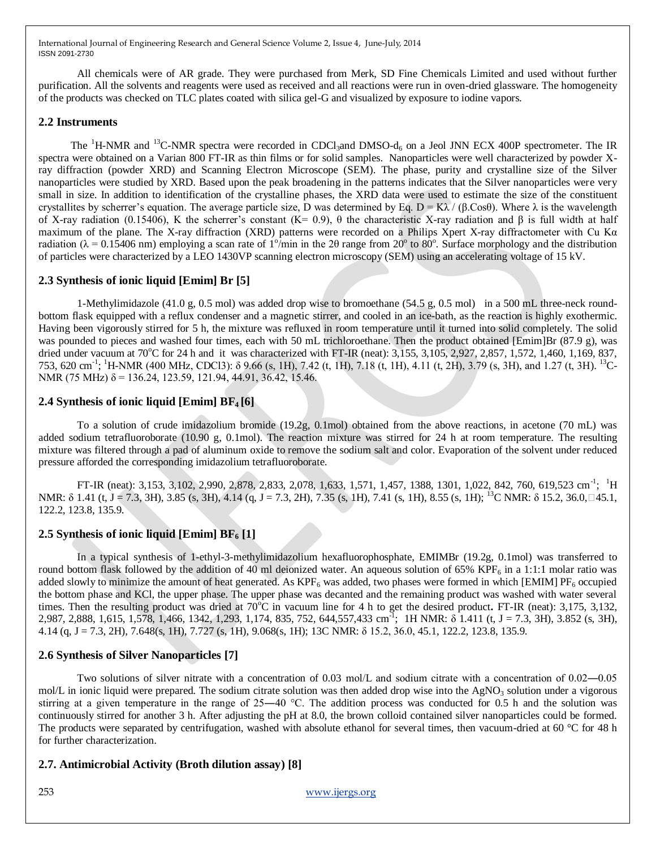All chemicals were of AR grade. They were purchased from Merk, SD Fine Chemicals Limited and used without further purification. All the solvents and reagents were used as received and all reactions were run in oven-dried glassware. The homogeneity of the products was checked on TLC plates coated with silica gel-G and visualized by exposure to iodine vapors.

#### **2.2 Instruments**

The  ${}^{1}$ H-NMR and  ${}^{13}$ C-NMR spectra were recorded in CDCl<sub>3</sub>and DMSO-d<sub>6</sub> on a Jeol JNN ECX 400P spectrometer. The IR spectra were obtained on a Varian 800 FT-IR as thin films or for solid samples. Nanoparticles were well characterized by powder Xray diffraction (powder XRD) and Scanning Electron Microscope (SEM). The phase, purity and crystalline size of the Silver nanoparticles were studied by XRD. Based upon the peak broadening in the patterns indicates that the Silver nanoparticles were very small in size. In addition to identification of the crystalline phases, the XRD data were used to estimate the size of the constituent crystallites by scherrer's equation. The average particle size, D was determined by Eq.  $D = Kλ / (β.Cosθ)$ . Where  $λ$  is the wavelength of X-ray radiation (0.15406), K the scherrer's constant (K= 0.9), θ the characteristic X-ray radiation and β is full width at half maximum of the plane. The X-ray diffraction (XRD) patterns were recorded on a Philips Xpert X-ray diffractometer with Cu Kα radiation ( $\lambda = 0.15406$  nm) employing a scan rate of  $1^{\circ}/$ min in the 20 range from 20° to 80°. Surface morphology and the distribution of particles were characterized by a LEO 1430VP scanning electron microscopy (SEM) using an accelerating voltage of 15 kV.

#### **2.3 Synthesis of ionic liquid [Emim] Br [5]**

1-Methylimidazole (41.0 g, 0.5 mol) was added drop wise to bromoethane (54.5 g, 0.5 mol) in a 500 mL three-neck roundbottom flask equipped with a reflux condenser and a magnetic stirrer, and cooled in an ice-bath, as the reaction is highly exothermic. Having been vigorously stirred for 5 h, the mixture was refluxed in room temperature until it turned into solid completely. The solid was pounded to pieces and washed four times, each with 50 mL trichloroethane. Then the product obtained [Emim]Br (87.9 g), was dried under vacuum at 70<sup>o</sup>C for 24 h and it was characterized with FT-IR (neat): 3,155, 3,105, 2,927, 2,857, 1,572, 1,460, 1,169, 837, 753, 620 cm<sup>-1</sup>; <sup>1</sup>H-NMR (400 MHz, CDCl3): δ 9.66 (s, 1H), 7.42 (t, 1H), 7.18 (t, 1H), 4.11 (t, 2H), 3.79 (s, 3H), and 1.27 (t, 3H). <sup>13</sup>C-NMR (75 MHz)  $\delta$  = 136.24, 123.59, 121.94, 44.91, 36.42, 15.46.

#### **2.4 Synthesis of ionic liquid [Emim] BF<sup>4</sup> [6]**

To a solution of crude imidazolium bromide (19.2g, 0.1mol) obtained from the above reactions, in acetone (70 mL) was added sodium tetrafluoroborate (10.90 g, 0.1mol). The reaction mixture was stirred for 24 h at room temperature. The resulting mixture was filtered through a pad of aluminum oxide to remove the sodium salt and color. Evaporation of the solvent under reduced pressure afforded the corresponding imidazolium tetrafluoroborate.

FT-IR (neat): 3,153, 3,102, 2,990, 2,878, 2,833, 2,078, 1,633, 1,571, 1,457, 1388, 1301, 1,022, 842, 760, 619,523 cm<sup>-1</sup>; <sup>1</sup>H NMR: δ 1.41 (t, J = 7.3, 3H), 3.85 (s, 3H), 4.14 (q, J = 7.3, 2H), 7.35 (s, 1H), 7.41 (s, 1H), 8.55 (s, 1H); <sup>13</sup>C NMR: δ 15.2, 36.0, 45.1, 122.2, 123.8, 135.9.

#### **2.5 Synthesis of ionic liquid [Emim] BF<sup>6</sup> [1]**

In a typical synthesis of 1-ethyl-3-methylimidazolium hexafluorophosphate, EMIMBr (19.2g, 0.1mol) was transferred to round bottom flask followed by the addition of 40 ml deionized water. An aqueous solution of 65% KPF6 in a 1:1:1 molar ratio was added slowly to minimize the amount of heat generated. As  $KPF_6$  was added, two phases were formed in which [EMIM]  $PF_6$  occupied the bottom phase and KCl, the upper phase. The upper phase was decanted and the remaining product was washed with water several times. Then the resulting product was dried at 70<sup>o</sup>C in vacuum line for 4 h to get the desired product. FT-IR (neat): 3,175, 3,132, 2,987, 2,888, 1,615, 1,578, 1,466, 1342, 1,293, 1,174, 835, 752, 644,557,433 cm<sup>-1</sup>; 1H NMR: δ 1.411 (t, J = 7.3, 3H), 3.852 (s, 3H), 4.14 (q, J = 7.3, 2H), 7.648(s, 1H), 7.727 (s, 1H), 9.068(s, 1H); 13C NMR: δ 15.2, 36.0, 45.1, 122.2, 123.8, 135.9.

#### **2.6 Synthesis of Silver Nanoparticles [7]**

Two solutions of silver nitrate with a concentration of 0.03 mol/L and sodium citrate with a concentration of 0.02―0.05 mol/L in ionic liquid were prepared. The sodium citrate solution was then added drop wise into the  $\text{AgNO}_3$  solution under a vigorous stirring at a given temperature in the range of 25—40 °C. The addition process was conducted for 0.5 h and the solution was continuously stirred for another 3 h. After adjusting the pH at 8.0, the brown colloid contained silver nanoparticles could be formed. The products were separated by centrifugation, washed with absolute ethanol for several times, then vacuum-dried at 60  $^{\circ}$ C for 48 h for further characterization.

#### **2.7. Antimicrobial Activity (Broth dilution assay) [8]**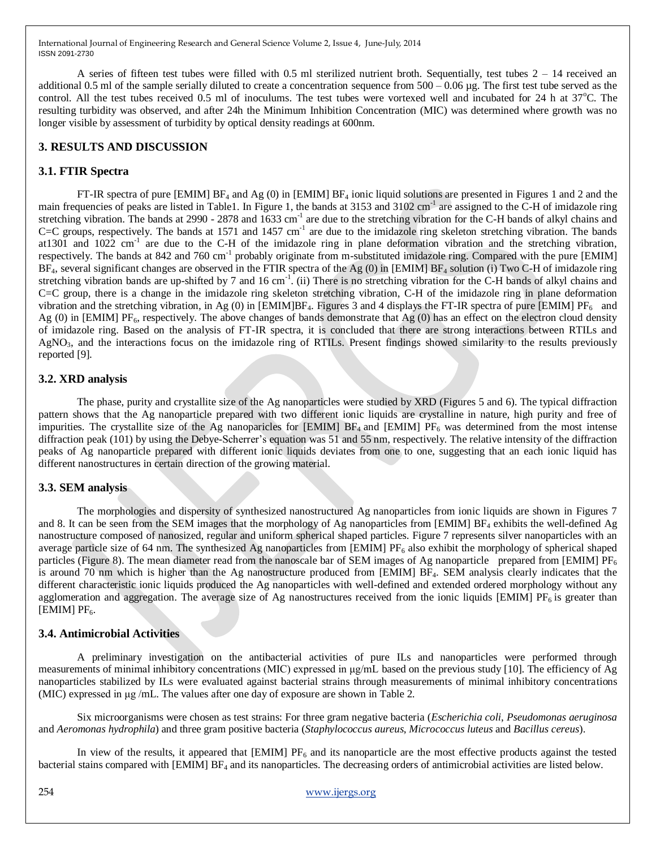A series of fifteen test tubes were filled with 0.5 ml sterilized nutrient broth. Sequentially, test tubes  $2 - 14$  received an additional 0.5 ml of the sample serially diluted to create a concentration sequence from  $500 - 0.06 \mu g$ . The first test tube served as the control. All the test tubes received 0.5 ml of inoculums. The test tubes were vortexed well and incubated for 24 h at  $37^{\circ}$ C. The resulting turbidity was observed, and after 24h the Minimum Inhibition Concentration (MIC) was determined where growth was no longer visible by assessment of turbidity by optical density readings at 600nm.

### **3. RESULTS AND DISCUSSION**

#### **3.1. FTIR Spectra**

FT-IR spectra of pure [EMIM]  $BF_4$  and Ag (0) in [EMIM]  $BF_4$  ionic liquid solutions are presented in Figures 1 and 2 and the main frequencies of peaks are listed in Table1. In Figure 1, the bands at 3153 and 3102 cm<sup>-1</sup> are assigned to the C-H of imidazole ring stretching vibration. The bands at 2990 - 2878 and  $1633 \text{ cm}^{-1}$  are due to the stretching vibration for the C-H bands of alkyl chains and C=C groups, respectively. The bands at 1571 and 1457 cm<sup>-1</sup> are due to the imidazole ring skeleton stretching vibration. The bands at1301 and  $1022 \text{ cm}^{-1}$  are due to the C-H of the imidazole ring in plane deformation vibration and the stretching vibration, respectively. The bands at 842 and 760 cm<sup>-1</sup> probably originate from m-substituted imidazole ring. Compared with the pure [EMIM]  $BF_4$ , several significant changes are observed in the FTIR spectra of the Ag (0) in [EMIM]  $BF_4$  solution (i) Two C-H of imidazole ring stretching vibration bands are up-shifted by 7 and 16 cm<sup>-1</sup>. (ii) There is no stretching vibration for the C-H bands of alkyl chains and C=C group, there is a change in the imidazole ring skeleton stretching vibration, C-H of the imidazole ring in plane deformation vibration and the stretching vibration, in Ag (0) in [EMIM]BF<sub>4</sub>. Figures 3 and 4 displays the FT-IR spectra of pure [EMIM] PF<sub>6</sub> and Ag  $(0)$  in [EMIM] PF<sub>6</sub>, respectively. The above changes of bands demonstrate that Ag  $(0)$  has an effect on the electron cloud density of imidazole ring. Based on the analysis of FT-IR spectra, it is concluded that there are strong interactions between RTILs and AgNO3, and the interactions focus on the imidazole ring of RTILs. Present findings showed similarity to the results previously reported [9].

#### **3.2. XRD analysis**

The phase, purity and crystallite size of the Ag nanoparticles were studied by XRD (Figures 5 and 6). The typical diffraction pattern shows that the Ag nanoparticle prepared with two different ionic liquids are crystalline in nature, high purity and free of impurities. The crystallite size of the Ag nanoparicles for  $[EMIM] BF<sub>4</sub>$  and  $[EMIM] PF<sub>6</sub>$  was determined from the most intense diffraction peak (101) by using the Debye-Scherrer's equation was 51 and 55 nm, respectively. The relative intensity of the diffraction peaks of Ag nanoparticle prepared with different ionic liquids deviates from one to one, suggesting that an each ionic liquid has different nanostructures in certain direction of the growing material.

#### **3.3. SEM analysis**

The morphologies and dispersity of synthesized nanostructured Ag nanoparticles from ionic liquids are shown in Figures 7 and 8. It can be seen from the SEM images that the morphology of Ag nanoparticles from [EMIM]  $BF_4$  exhibits the well-defined Ag nanostructure composed of nanosized, regular and uniform spherical shaped particles. Figure 7 represents silver nanoparticles with an average particle size of 64 nm. The synthesized Ag nanoparticles from  $[EMIM]$   $PF_6$  also exhibit the morphology of spherical shaped particles (Figure 8). The mean diameter read from the nanoscale bar of SEM images of Ag nanoparticle prepared from [EMIM]  $PF_6$ is around 70 nm which is higher than the Ag nanostructure produced from [EMIM] BF<sub>4</sub>. SEM analysis clearly indicates that the different characteristic ionic liquids produced the Ag nanoparticles with well-defined and extended ordered morphology without any agglomeration and aggregation. The average size of Ag nanostructures received from the ionic liquids [EMIM]  $PF<sub>6</sub>$  is greater than  $[EMIM]$   $PF<sub>6</sub>$ .

#### **3.4. Antimicrobial Activities**

A preliminary investigation on the antibacterial activities of pure ILs and nanoparticles were performed through measurements of minimal inhibitory concentrations (MIC) expressed in μg/mL based on the previous study [10]. The efficiency of Ag nanoparticles stabilized by ILs were evaluated against bacterial strains through measurements of minimal inhibitory concentrations (MIC) expressed in μg /mL. The values after one day of exposure are shown in Table 2.

Six microorganisms were chosen as test strains: For three gram negative bacteria (*Escherichia coli*, *Pseudomonas aeruginosa* and *Aeromonas hydrophila*) and three gram positive bacteria (*Staphylococcus aureus*, *Micrococcus luteus* and *Bacillus cereus*).

In view of the results, it appeared that  $[EMIM]$   $PF<sub>6</sub>$  and its nanoparticle are the most effective products against the tested bacterial stains compared with [EMIM] BF<sup>4</sup> and its nanoparticles. The decreasing orders of antimicrobial activities are listed below.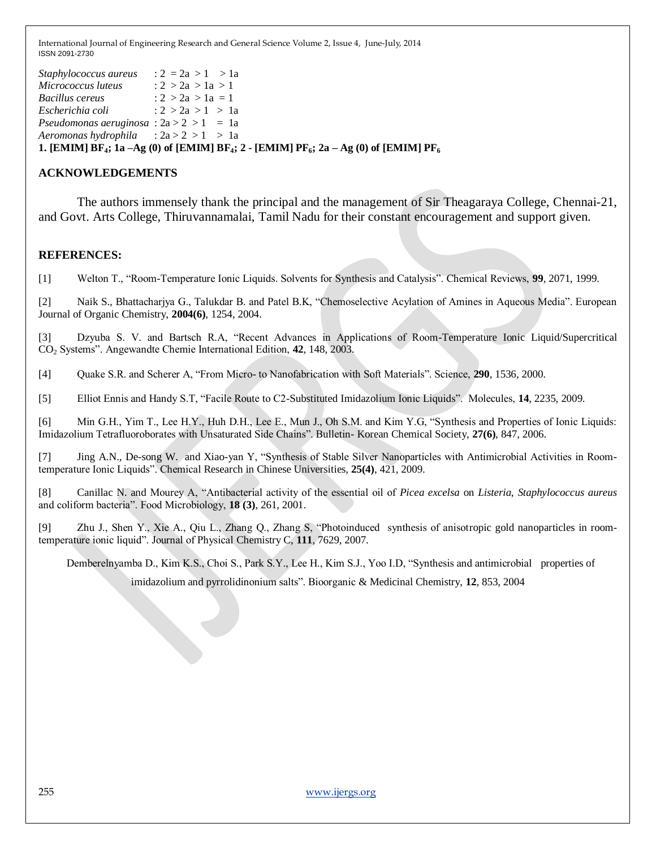*Staphylococcus aureus* : 2 = 2a > 1 > 1a *Micrococcus luteus*  $: 2 > 2a > 1a > 1$ *Bacillus cereus*  $: 2 > 2a > 1a = 1$ *Escherichia coli* : 2 > 2a > 1 > 1a *Pseudomonas aeruginosa* :  $2a > 2 > 1 = 1a$ *Aeromonas hydrophila* : 2a > 2 > 1 > 1a **1. [EMIM] BF4; 1a –Ag (0) of [EMIM] BF4; 2 - [EMIM] PF6; 2a – Ag (0) of [EMIM] PF<sup>6</sup>**

#### **ACKNOWLEDGEMENTS**

The authors immensely thank the principal and the management of Sir Theagaraya College, Chennai-21, and Govt. Arts College, Thiruvannamalai, Tamil Nadu for their constant encouragement and support given.

#### **REFERENCES:**

[1] Welton T., "Room-Temperature Ionic Liquids. Solvents for Synthesis and Catalysis". Chemical Reviews, **99**, 2071, 1999.

[2] Naik S., Bhattacharjya G., Talukdar B. and Patel B.K, "Chemoselective Acylation of Amines in Aqueous Media". European Journal of Organic Chemistry, **2004(6)**, 1254, 2004.

[3] Dzyuba S. V. and Bartsch R.A, "Recent Advances in Applications of Room-Temperature Ionic Liquid/Supercritical CO<sup>2</sup> Systems". Angewandte Chemie International Edition, **42**, 148, 2003.

[4] Quake S.R. and Scherer A, "From Micro- to Nanofabrication with Soft Materials". Science, **290**, 1536, 2000.

[5] Elliot Ennis and Handy S.T, "Facile Route to C2-Substituted Imidazolium Ionic Liquids". Molecules, **14**, 2235, 2009.

[6] Min G.H., Yim T., Lee H.Y., Huh D.H., Lee E., Mun J., Oh S.M. and Kim Y.G, "Synthesis and Properties of Ionic Liquids: Imidazolium Tetrafluoroborates with Unsaturated Side Chains". Bulletin- Korean Chemical Society, **27(6)**, 847, 2006.

[7] Jing A.N., De-song W. and Xiao-yan Y, "Synthesis of Stable Silver Nanoparticles with Antimicrobial Activities in Roomtemperature Ionic Liquids". Chemical Research in Chinese Universities, **25(4)**, 421, 2009.

[8] Canillac N. and Mourey A, "Antibacterial activity of the essential oil of *Picea excelsa* on *Listeria*, *Staphylococcus aureus* and coliform bacteria". Food Microbiology, **18 (3)**, 261, 2001.

[9] Zhu J., Shen Y., Xie A., Qiu L., Zhang Q., Zhang S, "Photoinduced synthesis of anisotropic gold nanoparticles in roomtemperature ionic liquid". Journal of Physical Chemistry C, **111**, 7629, 2007.

Demberelnyamba D., Kim K.S., Choi S., Park S.Y., Lee H., Kim S.J., Yoo I.D, "Synthesis and antimicrobial properties of

imidazolium and pyrrolidinonium salts". Bioorganic & Medicinal Chemistry, **12**, 853, 2004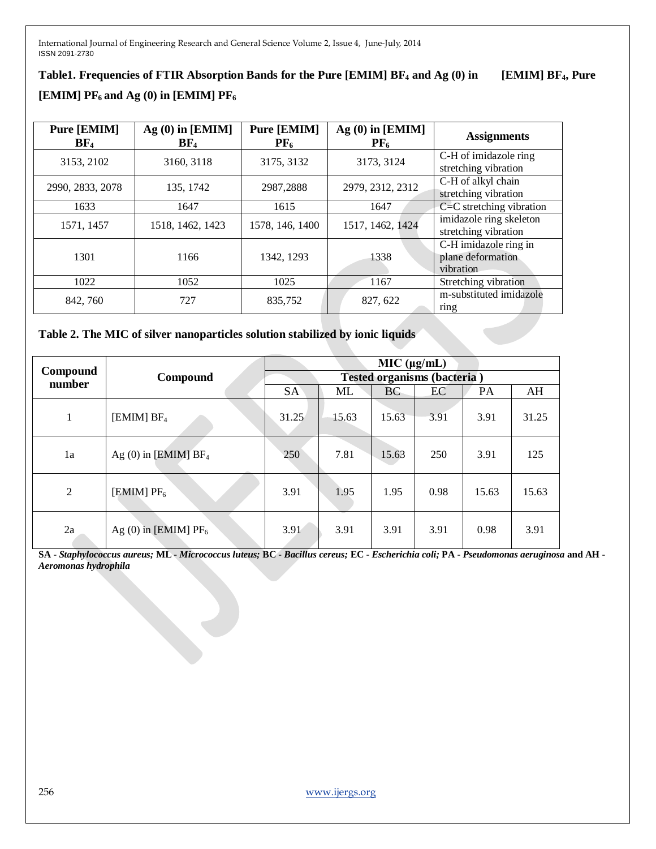## **Table1. Frequencies of FTIR Absorption Bands for the Pure [EMIM] BF<sup>4</sup> and Ag (0) in [EMIM] BF4, Pure [EMIM] PF6 and Ag (0) in [EMIM] PF<sup>6</sup>**

| <b>Pure [EMIM]</b><br>BF <sub>4</sub> | Ag $(0)$ in [EMIM]<br>BF <sub>4</sub> | <b>Pure [EMIM]</b><br>$PF_6$ | Ag $(0)$ in [EMIM]<br>$PF_6$ | <b>Assignments</b>                                      |  |
|---------------------------------------|---------------------------------------|------------------------------|------------------------------|---------------------------------------------------------|--|
| 3153, 2102                            | 3160, 3118                            | 3175, 3132                   | 3173, 3124                   | C-H of imidazole ring<br>stretching vibration           |  |
| 2990, 2833, 2078                      | 135, 1742                             | 2987,2888                    | 2979, 2312, 2312             | C-H of alkyl chain<br>stretching vibration              |  |
| 1633                                  | 1647                                  | 1615                         | 1647                         | $C=C$ stretching vibration                              |  |
| 1571, 1457                            | 1518, 1462, 1423                      | 1578, 146, 1400              | 1517, 1462, 1424             | imidazole ring skeleton<br>stretching vibration         |  |
| 1301                                  | 1166                                  | 1342, 1293                   | 1338                         | C-H imidazole ring in<br>plane deformation<br>vibration |  |
| 1022                                  | 1052                                  | 1025                         | 1167                         | Stretching vibration                                    |  |
| 842, 760                              | 727                                   | 835,752                      | 827, 622                     | m-substituted imidazole<br>ring                         |  |

#### **Table 2. The MIC of silver nanoparticles solution stabilized by ionic liquids**

| Compound<br>number | Compound                           | MIC (µg/mL)                        |       |           |      |       |       |
|--------------------|------------------------------------|------------------------------------|-------|-----------|------|-------|-------|
|                    |                                    | <b>Tested organisms (bacteria)</b> |       |           |      |       |       |
|                    |                                    | <b>SA</b>                          | ML    | <b>BC</b> | EC   | PA    | AH    |
| 1                  | [ $EMIM$ ] $BF4$                   | 31.25                              | 15.63 | 15.63     | 3.91 | 3.91  | 31.25 |
| 1a                 | Ag $(0)$ in [EMIM] BF <sub>4</sub> | 250                                | 7.81  | 15.63     | 250  | 3.91  | 125   |
| $\overline{2}$     | $[EMIM]$ $PF6$                     | 3.91                               | 1.95  | 1.95      | 0.98 | 15.63 | 15.63 |
| 2a                 | Ag (0) in [EMIM] $PF_6$            | 3.91                               | 3.91  | 3.91      | 3.91 | 0.98  | 3.91  |

SA - Staphylococcus aureus; ML - Micrococcus luteus; BC - Bacillus cereus; EC - Escherichia coli; PA - Pseudomonas aeruginosa and AH -*Aeromonas hydrophila*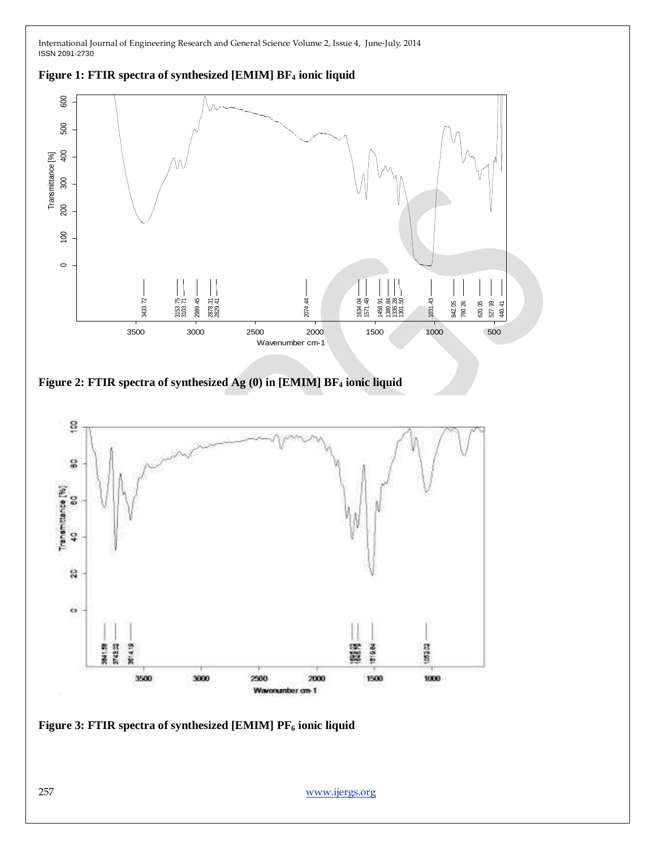



**Figure 2: FTIR spectra of synthesized Ag (0) in [EMIM] BF<sup>4</sup> ionic liquid**



**Figure 3: FTIR spectra of synthesized [EMIM] PF<sup>6</sup> ionic liquid**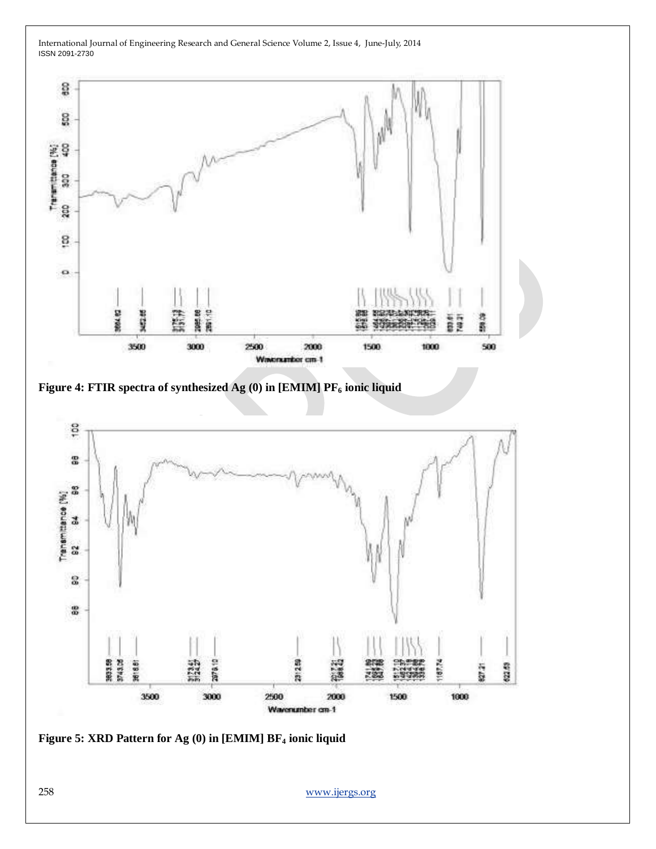

**Figure 4: FTIR spectra of synthesized Ag (0) in [EMIM] PF<sup>6</sup> ionic liquid**



**Figure 5: XRD Pattern for Ag (0) in [EMIM] BF<sup>4</sup> ionic liquid**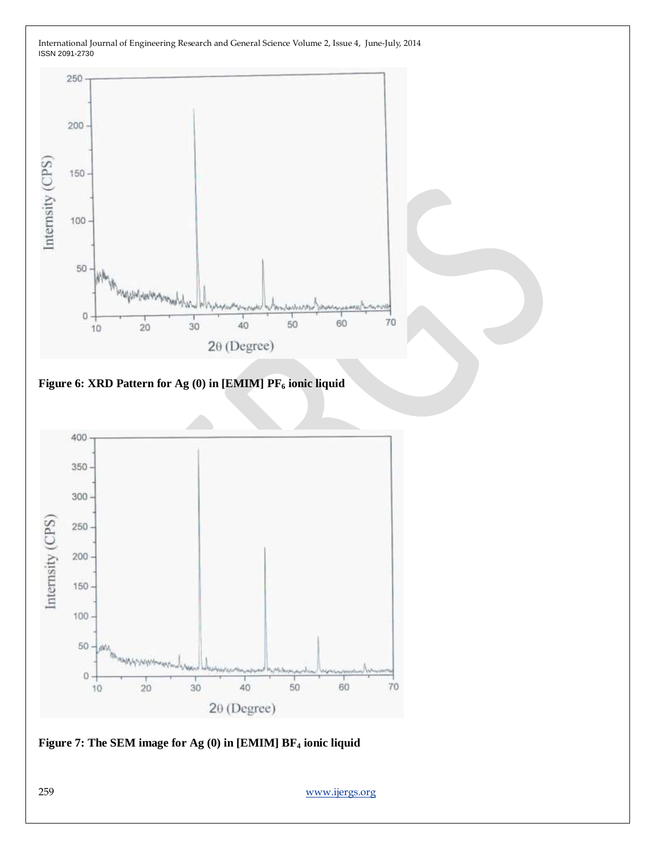



**Figure 7: The SEM image for Ag (0) in [EMIM] BF<sup>4</sup> ionic liquid**